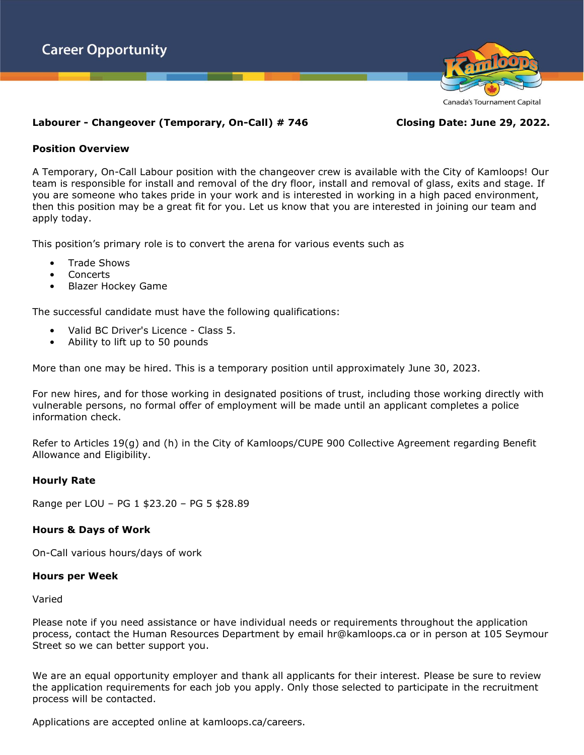

# **Labourer - Changeover (Temporary, On-Call) # 746 Closing Date: June 29, 2022.**

# **Position Overview**

A Temporary, On-Call Labour position with the changeover crew is available with the City of Kamloops! Our team is responsible for install and removal of the dry floor, install and removal of glass, exits and stage. If you are someone who takes pride in your work and is interested in working in a high paced environment, then this position may be a great fit for you. Let us know that you are interested in joining our team and apply today.

This position's primary role is to convert the arena for various events such as

- Trade Shows
- Concerts
- Blazer Hockey Game

The successful candidate must have the following qualifications:

- Valid BC Driver's Licence Class 5.
- Ability to lift up to 50 pounds

More than one may be hired. This is a temporary position until approximately June 30, 2023.

For new hires, and for those working in designated positions of trust, including those working directly with vulnerable persons, no formal offer of employment will be made until an applicant completes a police information check.

Refer to Articles 19(g) and (h) in the City of Kamloops/CUPE 900 Collective Agreement regarding Benefit Allowance and Eligibility.

# **Hourly Rate**

Range per LOU – PG 1 \$23.20 – PG 5 \$28.89

# **Hours & Days of Work**

On-Call various hours/days of work

#### **Hours per Week**

Varied

Please note if you need assistance or have individual needs or requirements throughout the application process, contact the Human Resources Department by email hr@kamloops.ca or in person at 105 Seymour Street so we can better support you.

We are an equal opportunity employer and thank all applicants for their interest. Please be sure to review the application requirements for each job you apply. Only those selected to participate in the recruitment process will be contacted.

Applications are accepted online at kamloops.ca/careers.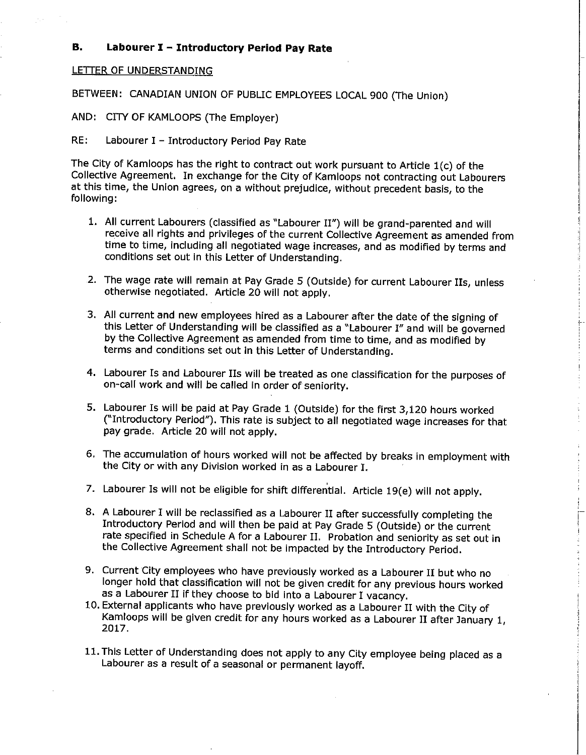#### В. Labourer I - Introductory Period Pay Rate

#### LETTER OF UNDERSTANDING

BETWEEN: CANADIAN UNION OF PUBLIC EMPLOYEES LOCAL 900 (The Union)

AND: CITY OF KAMLOOPS (The Employer)

 $RE:$ Labourer I - Introductory Period Pay Rate

The City of Kamloops has the right to contract out work pursuant to Article  $1(c)$  of the Collective Agreement. In exchange for the City of Kamloops not contracting out Labourers at this time, the Union agrees, on a without prejudice, without precedent basis, to the following:

- 1. All current Labourers (classified as "Labourer II") will be grand-parented and will receive all rights and privileges of the current Collective Agreement as amended from time to time, including all negotiated wage increases, and as modified by terms and conditions set out in this Letter of Understanding.
- 2. The wage rate will remain at Pay Grade 5 (Outside) for current Labourer IIs, unless otherwise negotiated. Article 20 will not apply.
- 3. All current and new employees hired as a Labourer after the date of the signing of this Letter of Understanding will be classified as a "Labourer I" and will be governed by the Collective Agreement as amended from time to time, and as modified by terms and conditions set out in this Letter of Understanding.
- 4. Labourer Is and Labourer IIs will be treated as one classification for the purposes of on-call work and will be called in order of seniority.
- 5. Labourer Is will be paid at Pay Grade 1 (Outside) for the first 3,120 hours worked ("Introductory Period"). This rate is subject to all negotiated wage increases for that pay grade. Article 20 will not apply.
- 6. The accumulation of hours worked will not be affected by breaks in employment with the City or with any Division worked in as a Labourer I.
- 7. Labourer Is will not be eligible for shift differential. Article 19(e) will not apply.
- 8. A Labourer I will be reclassified as a Labourer II after successfully completing the Introductory Period and will then be paid at Pay Grade 5 (Outside) or the current rate specified in Schedule A for a Labourer II. Probation and seniority as set out in the Collective Agreement shall not be impacted by the Introductory Period.
- 9. Current City employees who have previously worked as a Labourer II but who no longer hold that classification will not be given credit for any previous hours worked as a Labourer II if they choose to bid into a Labourer I vacancy.
- 10. External applicants who have previously worked as a Labourer II with the City of Kamloops will be given credit for any hours worked as a Labourer II after January 1, 2017
- 11. This Letter of Understanding does not apply to any City employee being placed as a Labourer as a result of a seasonal or permanent layoff.